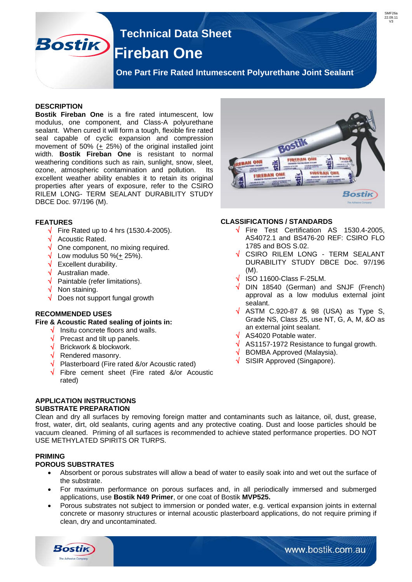## **Technical Data Sheet Bostik Fireban One**

 **One Part Fire Rated Intumescent Polyurethane Joint Sealant** 

#### **DESCRIPTION**

**Bostik Fireban One** is a fire rated intumescent, low modulus, one component, and Class-A polyurethane sealant. When cured it will form a tough, flexible fire rated seal capable of cyclic expansion and compression movement of 50%  $(+ 25%)$  of the original installed joint width. **Bostik Fireban One** is resistant to normal weathering conditions such as rain, sunlight, snow, sleet, ozone, atmospheric contamination and pollution. Its excellent weather ability enables it to retain its original properties after years of exposure, refer to the CSIRO RILEM LONG- TERM SEALANT DURABILITY STUDY DBCE Doc. 97/196 (M).

#### **FEATURES**

- $\sqrt{\phantom{a}}$  Fire Rated up to 4 hrs (1530.4-2005).
- Acoustic Rated.
- $\sqrt{\phantom{a}}$  One component, no mixing required.
- $\sqrt{\phantom{a}}$  Low modulus 50 %( $\pm$  25%).
- Excellent durability.
- Australian made.
- $\sqrt{\phantom{a}}$  Paintable (refer limitations).
- Non staining.
- Does not support fungal growth

#### **RECOMMENDED USES**

#### **Fire & Acoustic Rated sealing of joints in:**

- Insitu concrete floors and walls.
- $\sqrt{ }$  Precast and tilt up panels.
- $\sqrt{\phantom{a}}$  Brickwork & blockwork.
- $\sqrt{\phantom{a}}$  Rendered masonry.
- $\sqrt{\phantom{a}}$  Plasterboard (Fire rated &/or Acoustic rated)
- Fibre cement sheet (Fire rated &/or Acoustic rated)

#### **APPLICATION INSTRUCTIONS SUBSTRATE PREPARATION**

Clean and dry all surfaces by removing foreign matter and contaminants such as laitance, oil, dust, grease, frost, water, dirt, old sealants, curing agents and any protective coating. Dust and loose particles should be vacuum cleaned. Priming of all surfaces is recommended to achieve stated performance properties. DO NOT USE METHYLATED SPIRITS OR TURPS.

#### **PRIMING**

#### **POROUS SUBSTRATES**

**Bostik** 

- Absorbent or porous substrates will allow a bead of water to easily soak into and wet out the surface of the substrate.
- For maximum performance on porous surfaces and, in all periodically immersed and submerged applications, use **Bostik N49 Primer**, or one coat of Bostik **MVP525.**
- Porous substrates not subject to immersion or ponded water, e.g. vertical expansion joints in external concrete or masonry structures or internal acoustic plasterboard applications, do not require priming if clean, dry and uncontaminated.



SME26 22.09.11 V3

#### **CLASSIFICATIONS / STANDARDS**

- $\sqrt{\phantom{1}}$  Fire Test Certification AS 1530.4-2005, AS4072.1 and BS476-20 REF: CSIRO FLO 1785 and BOS S.02.
- $\sqrt{\phantom{a}}$  CSIRO RILEM LONG TERM SEALANT DURABILITY STUDY DBCE Doc. 97/196 (M).
- $\sqrt{ }$  ISO 11600-Class F-25LM.
- $\sqrt{}$  DIN 18540 (German) and SNJF (French) approval as a low modulus external joint sealant.
- $\sqrt{}$  ASTM C.920-87 & 98 (USA) as Type S, Grade NS, Class 25, use NT, G, A, M, &O as an external joint sealant.
- $\sqrt{\phantom{a}}$  AS4020 Potable water.
- $\sqrt{ }$  AS1157-1972 Resistance to fungal growth.
- BOMBA Approved (Malaysia).
- SISIR Approved (Singapore).

www.bostik.com.au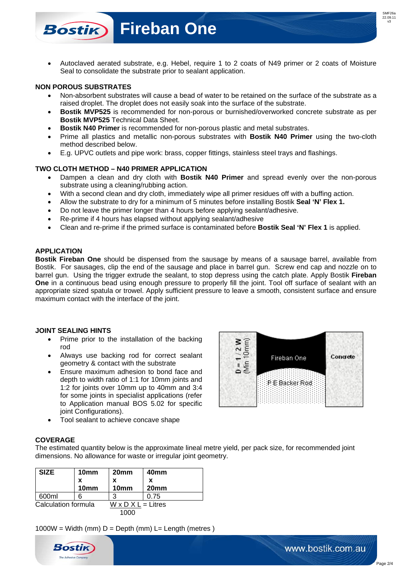

# **Fireban One**

 Autoclaved aerated substrate, e.g. Hebel, require 1 to 2 coats of N49 primer or 2 coats of Moisture Seal to consolidate the substrate prior to sealant application.

#### **NON POROUS SUBSTRATES**

**Bostik** 

- Non-absorbent substrates will cause a bead of water to be retained on the surface of the substrate as a raised droplet. The droplet does not easily soak into the surface of the substrate.
- **Bostik MVP525** is recommended for non-porous or burnished/overworked concrete substrate as per **Bostik MVP525** Technical Data Sheet.
- **Bostik N40 Primer** is recommended for non-porous plastic and metal substrates.
- Prime all plastics and metallic non-porous substrates with **Bostik N40 Primer** using the two-cloth method described below.
- E.g. UPVC outlets and pipe work: brass, copper fittings, stainless steel trays and flashings.

#### **TWO CLOTH METHOD – N40 PRIMER APPLICATION**

- Dampen a clean and dry cloth with **Bostik N40 Primer** and spread evenly over the non-porous substrate using a cleaning/rubbing action.
- With a second clean and dry cloth, immediately wipe all primer residues off with a buffing action.
- Allow the substrate to dry for a minimum of 5 minutes before installing Bostik **Seal 'N' Flex 1.**
- Do not leave the primer longer than 4 hours before applying sealant/adhesive.
- Re-prime if 4 hours has elapsed without applying sealant/adhesive
- Clean and re-prime if the primed surface is contaminated before **Bostik Seal 'N' Flex 1** is applied.

#### **APPLICATION**

**Bostik Fireban One** should be dispensed from the sausage by means of a sausage barrel, available from Bostik. For sausages, clip the end of the sausage and place in barrel gun. Screw end cap and nozzle on to barrel gun. Using the trigger extrude the sealant, to stop depress using the catch plate. Apply Bostik **Fireban One** in a continuous bead using enough pressure to properly fill the joint. Tool off surface of sealant with an appropriate sized spatula or trowel. Apply sufficient pressure to leave a smooth, consistent surface and ensure maximum contact with the interface of the joint.

#### **JOINT SEALING HINTS**

- Prime prior to the installation of the backing rod
- Always use backing rod for correct sealant geometry & contact with the substrate
- Ensure maximum adhesion to bond face and depth to width ratio of 1:1 for 10mm joints and 1:2 for joints over 10mm up to 40mm and 3:4 for some joints in specialist applications (refer to Application manual BOS 5.02 for specific joint Configurations).
- Tool sealant to achieve concave shape

#### **COVERAGE**

The estimated quantity below is the approximate lineal metre yield, per pack size, for recommended joint dimensions. No allowance for waste or irregular joint geometry.

| <b>SIZE</b>         | 10 <sub>mm</sub> | 20 <sub>mm</sub>               | 40 <sub>mm</sub> |
|---------------------|------------------|--------------------------------|------------------|
|                     | x                | x                              | x                |
|                     | 10 <sub>mm</sub> | 10 <sub>mm</sub>               | 20mm             |
| 600ml               |                  | 3                              | 0.75             |
| Calculation formula |                  | $W \times D \times L =$ Litres |                  |
| 1000                |                  |                                |                  |

 $1000W = Width (mm) D = Deoth (mm) L = Lenath (metres)$ 



www.bostik.com.au

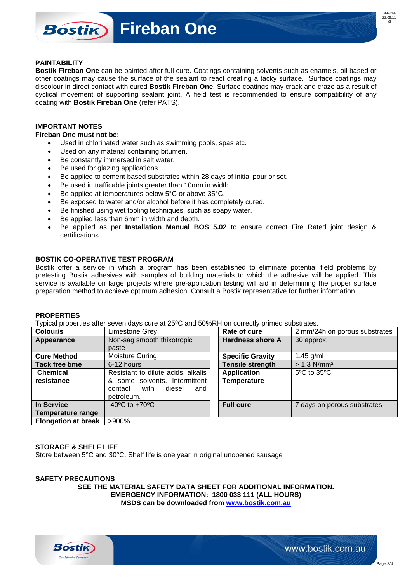### **Fireban One Bostik**

#### **PAINTABILITY**

**Bostik Fireban One** can be painted after full cure. Coatings containing solvents such as enamels, oil based or other coatings may cause the surface of the sealant to react creating a tacky surface. Surface coatings may discolour in direct contact with cured **Bostik Fireban One**. Surface coatings may crack and craze as a result of cyclical movement of supporting sealant joint. A field test is recommended to ensure compatibility of any coating with **Bostik Fireban One** (refer PATS).

#### **IMPORTANT NOTES**

**Fireban One must not be:**

- Used in chlorinated water such as swimming pools, spas etc.
- Used on any material containing bitumen.
- Be constantly immersed in salt water.
- Be used for glazing applications.
- Be applied to cement based substrates within 28 days of initial pour or set.
- Be used in trafficable joints greater than 10mm in width.
- Be applied at temperatures below 5°C or above 35°C.
- Be exposed to water and/or alcohol before it has completely cured.
- Be finished using wet tooling techniques, such as soapy water.
- Be applied less than 6mm in width and depth.
- Be applied as per **Installation Manual BOS 5.02** to ensure correct Fire Rated joint design & certifications

#### **BOSTIK CO-OPERATIVE TEST PROGRAM**

Bostik offer a service in which a program has been established to eliminate potential field problems by pretesting Bostik adhesives with samples of building materials to which the adhesive will be applied. This service is available on large projects where pre-application testing will aid in determining the proper surface preparation method to achieve optimum adhesion. Consult a Bostik representative for further information.

#### **PROPERTIES**

Typical properties after seven days cure at 25ºC and 50%RH on correctly primed substrates.

| Colour/s                   | Limestone Grey                     | Rate of cure            | 2 mm/24h on porous substrates   |
|----------------------------|------------------------------------|-------------------------|---------------------------------|
| Appearance                 | Non-sag smooth thixotropic         | <b>Hardness shore A</b> | 30 approx.                      |
|                            | paste                              |                         |                                 |
| <b>Cure Method</b>         | Moisture Curing                    | <b>Specific Gravity</b> | $1.45$ g/ml                     |
| <b>Tack free time</b>      | 6-12 hours                         | <b>Tensile strength</b> | $> 1.3$ N/mm <sup>2</sup>       |
| <b>Chemical</b>            | Resistant to dilute acids, alkalis | <b>Application</b>      | $5^{\circ}$ C to $35^{\circ}$ C |
| resistance                 | & some solvents. Intermittent      | <b>Temperature</b>      |                                 |
|                            | with<br>diesel<br>contact<br>and   |                         |                                 |
|                            | petroleum.                         |                         |                                 |
| In Service                 | $-40^{\circ}$ C to $+70^{\circ}$ C | <b>Full cure</b>        | 7 days on porous substrates     |
| Temperature range          |                                    |                         |                                 |
| <b>Elongation at break</b> | >900%                              |                         |                                 |

#### **STORAGE & SHELF LIFE**

Store between 5°C and 30°C. Shelf life is one year in original unopened sausage

#### **SAFETY PRECAUTIONS SEE THE MATERIAL SAFETY DATA SHEET FOR ADDITIONAL INFORMATION. EMERGENCY INFORMATION: 1800 033 111 (ALL HOURS) MSDS can be downloaded from [www.bostik.com.au](http://www.bostik.com.au/)**